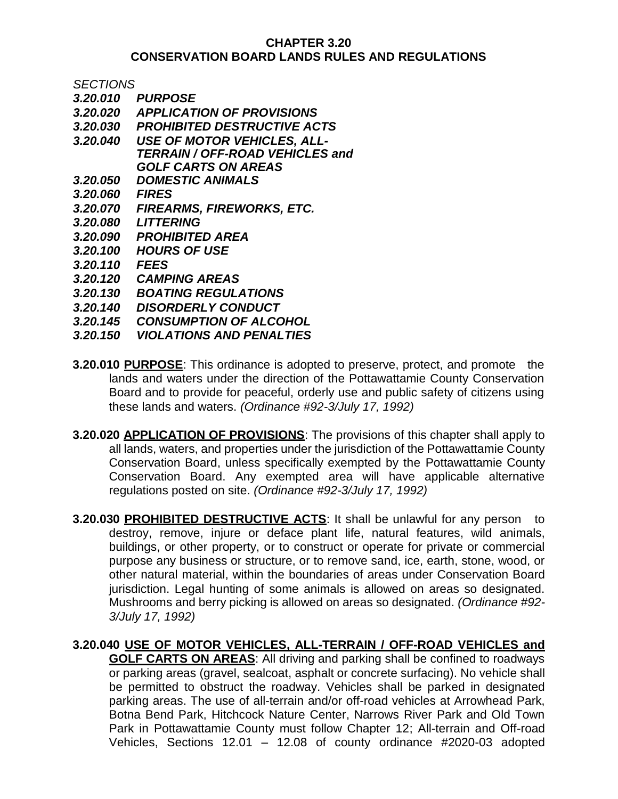## **CHAPTER 3.20 CONSERVATION BOARD LANDS RULES AND REGULATIONS**

*SECTIONS*

- *3.20.010 PURPOSE*
- *3.20.020 APPLICATION OF PROVISIONS*
- *3.20.030 PROHIBITED DESTRUCTIVE ACTS*
- *3.20.040 USE OF MOTOR VEHICLES, ALL-TERRAIN / OFF-ROAD VEHICLES and GOLF CARTS ON AREAS*
- *3.20.050 DOMESTIC ANIMALS*
- *3.20.060 FIRES*
- *3.20.070 FIREARMS, FIREWORKS, ETC.*
- *3.20.080 LITTERING*
- *3.20.090 PROHIBITED AREA*
- *3.20.100 HOURS OF USE*
- *3.20.110 FEES*
- *3.20.120 CAMPING AREAS*
- *3.20.130 BOATING REGULATIONS*
- *3.20.140 DISORDERLY CONDUCT*
- *3.20.145 CONSUMPTION OF ALCOHOL*
- *3.20.150 VIOLATIONS AND PENALTIES*
- **3.20.010 PURPOSE**: This ordinance is adopted to preserve, protect, and promote the lands and waters under the direction of the Pottawattamie County Conservation Board and to provide for peaceful, orderly use and public safety of citizens using these lands and waters. *(Ordinance #92-3/July 17, 1992)*
- **3.20.020 APPLICATION OF PROVISIONS**: The provisions of this chapter shall apply to all lands, waters, and properties under the jurisdiction of the Pottawattamie County Conservation Board, unless specifically exempted by the Pottawattamie County Conservation Board. Any exempted area will have applicable alternative regulations posted on site. *(Ordinance #92-3/July 17, 1992)*
- **3.20.030 PROHIBITED DESTRUCTIVE ACTS**: It shall be unlawful for any person to destroy, remove, injure or deface plant life, natural features, wild animals, buildings, or other property, or to construct or operate for private or commercial purpose any business or structure, or to remove sand, ice, earth, stone, wood, or other natural material, within the boundaries of areas under Conservation Board jurisdiction. Legal hunting of some animals is allowed on areas so designated. Mushrooms and berry picking is allowed on areas so designated. *(Ordinance #92- 3/July 17, 1992)*

**3.20.040 USE OF MOTOR VEHICLES, ALL-TERRAIN / OFF-ROAD VEHICLES and GOLF CARTS ON AREAS**: All driving and parking shall be confined to roadways or parking areas (gravel, sealcoat, asphalt or concrete surfacing). No vehicle shall be permitted to obstruct the roadway. Vehicles shall be parked in designated parking areas. The use of all-terrain and/or off-road vehicles at Arrowhead Park, Botna Bend Park, Hitchcock Nature Center, Narrows River Park and Old Town Park in Pottawattamie County must follow Chapter 12; All-terrain and Off-road Vehicles, Sections 12.01 – 12.08 of county ordinance #2020-03 adopted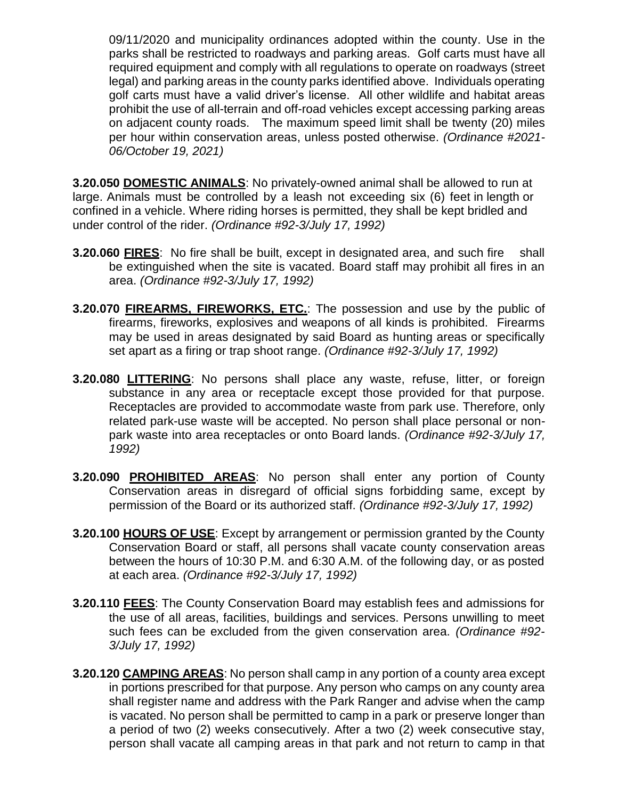09/11/2020 and municipality ordinances adopted within the county. Use in the parks shall be restricted to roadways and parking areas. Golf carts must have all required equipment and comply with all regulations to operate on roadways (street legal) and parking areas in the county parks identified above. Individuals operating golf carts must have a valid driver's license. All other wildlife and habitat areas prohibit the use of all-terrain and off-road vehicles except accessing parking areas on adjacent county roads. The maximum speed limit shall be twenty (20) miles per hour within conservation areas, unless posted otherwise. *(Ordinance #2021- 06/October 19, 2021)*

**3.20.050 DOMESTIC ANIMALS**: No privately-owned animal shall be allowed to run at large. Animals must be controlled by a leash not exceeding six (6) feet in length or confined in a vehicle. Where riding horses is permitted, they shall be kept bridled and under control of the rider. *(Ordinance #92-3/July 17, 1992)*

- **3.20.060 FIRES:** No fire shall be built, except in designated area, and such fire shall be extinguished when the site is vacated. Board staff may prohibit all fires in an area. *(Ordinance #92-3/July 17, 1992)*
- **3.20.070 FIREARMS, FIREWORKS, ETC.**: The possession and use by the public of firearms, fireworks, explosives and weapons of all kinds is prohibited. Firearms may be used in areas designated by said Board as hunting areas or specifically set apart as a firing or trap shoot range. *(Ordinance #92-3/July 17, 1992)*
- **3.20.080 LITTERING:** No persons shall place any waste, refuse, litter, or foreign substance in any area or receptacle except those provided for that purpose. Receptacles are provided to accommodate waste from park use. Therefore, only related park-use waste will be accepted. No person shall place personal or nonpark waste into area receptacles or onto Board lands. *(Ordinance #92-3/July 17, 1992)*
- **3.20.090 PROHIBITED AREAS**: No person shall enter any portion of County Conservation areas in disregard of official signs forbidding same, except by permission of the Board or its authorized staff. *(Ordinance #92-3/July 17, 1992)*
- **3.20.100 HOURS OF USE**: Except by arrangement or permission granted by the County Conservation Board or staff, all persons shall vacate county conservation areas between the hours of 10:30 P.M. and 6:30 A.M. of the following day, or as posted at each area. *(Ordinance #92-3/July 17, 1992)*
- **3.20.110 FEES**: The County Conservation Board may establish fees and admissions for the use of all areas, facilities, buildings and services. Persons unwilling to meet such fees can be excluded from the given conservation area. *(Ordinance #92- 3/July 17, 1992)*
- **3.20.120 CAMPING AREAS**: No person shall camp in any portion of a county area except in portions prescribed for that purpose. Any person who camps on any county area shall register name and address with the Park Ranger and advise when the camp is vacated. No person shall be permitted to camp in a park or preserve longer than a period of two (2) weeks consecutively. After a two (2) week consecutive stay, person shall vacate all camping areas in that park and not return to camp in that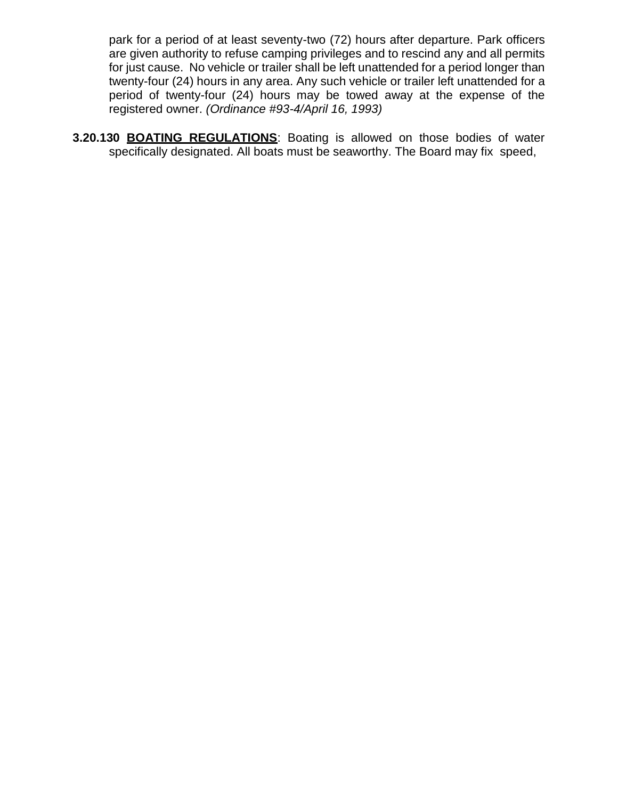park for a period of at least seventy-two (72) hours after departure. Park officers are given authority to refuse camping privileges and to rescind any and all permits for just cause. No vehicle or trailer shall be left unattended for a period longer than twenty-four (24) hours in any area. Any such vehicle or trailer left unattended for a period of twenty-four (24) hours may be towed away at the expense of the registered owner. *(Ordinance #93-4/April 16, 1993)*

**3.20.130 BOATING REGULATIONS**: Boating is allowed on those bodies of water specifically designated. All boats must be seaworthy. The Board may fix speed,